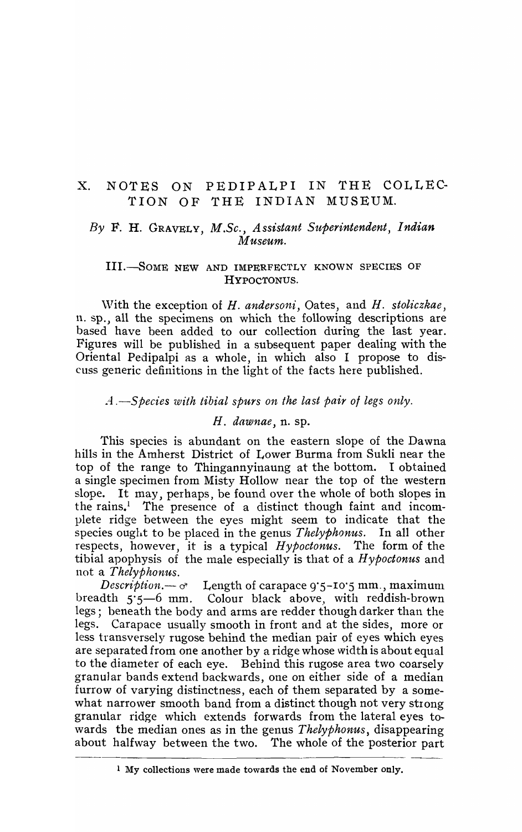# x. NOTES ON PEDIPALPI IN THE COLLEC-TION OF THE INDIAN MUSEUM.

## By F. H. GRAVELY, *M.Sc.*, *Assistant Superintendent*, *Indian Museum.*

### IIL-SoME NEW AND IMPERFECTLY KNOWN SPECIES OF HYPOCTONUS.

\Vith the exception of *H. andersoni,* Oates, and *H. stoliczkae,*  11. sp., all the specimens on which the following descriptions are based have been added to our collection during the last year. Figures will be published in a subsequent paper dealing with the Oriental Pedipalpi as a whole, in which also I propose to discuss generic definitions in the light of the facts here published.

# *A.*-Species with tibial spurs on the last pair of legs only.

### H. *dawnae*, n. sp.

This species is abundant on the eastern slope of the Dawna hills in the Amherst District of Lower Burma from Sukli near the top of the range to Thingannyinaung at the bottom. I obtained a single specimen from Misty Hollow near the top of the western slope. It may, perhaps, be found over the whole of both slopes in the rains.<sup>1</sup> The presence of a distinct though faint and incomplete ridge between the eyes might seem to indicate that the species ought to be placed in the genus *Thelyphonus.* In all other respects, however, it is a typical *Hypoctonus.* The form of the tibial apophysis of the male especially is that of a *H ypoctonus* and not a *Thelyphonus.* 

*Description.* $-\sigma$  Length of carapace 9.5–10.5 mm., maximum breadth 5°5-6 mm. Colour black above., with reddish-brown legs; beneath the body and arms are redder though darker than the legs. Carapace usually smooth in front and at the sides, more or less transversely rugose behind the median pair of eyes which eyes are separated from one another by a ridge whose width is about equal to the diameter of each eye. Bebind this rugose area two coarsely granular bands extend backwards, one on either side of a median furrow of varying distinctness, each of them separated by a somewhat narrower smooth band from a distinct though not very strong granular ridge which extends forwards from the lateral eyes to wards the median ones as in the genus *Thelyphonus*, disappearing about halfway between the two. The whole of the posterior part

<sup>1</sup> My collections were made towards the end of November only.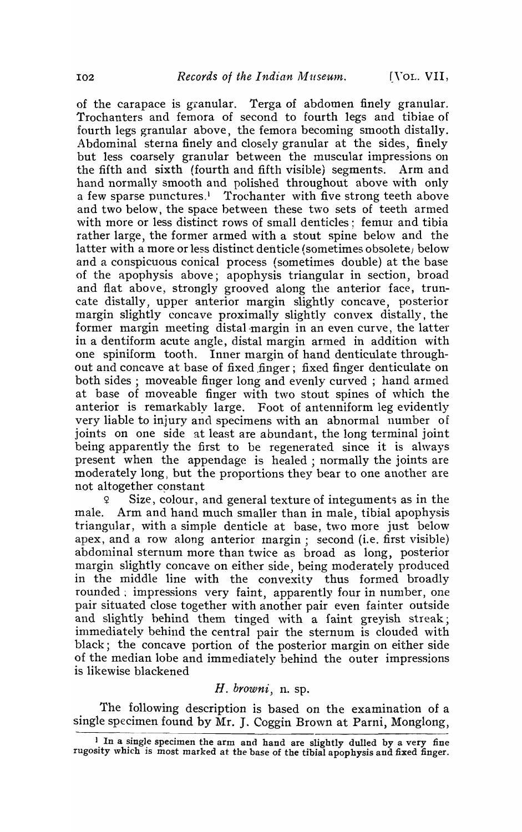of the carapace is granular. Terga of abdomen finely granular. Trochanters and femora of second to fourth legs and tibiae of fourth legs granular above, the femora becoming smooth distally. Abdominal sterna finely and closely granular at the sides, finely but less coarsely granular between the muscular impressions on the fifth and sixth (fourth and fifth visible) segments. Arm and hand normally smooth and polished throughout above \vith only a few sparse punctures.<sup>1</sup> Trochanter with five strong teeth above and two below, the space between these two sets of teeth armed with more or less distinct rows of small denticles; femur and tibia rather large, the former armed with a stout spine below and the latter with a more or less distinct denticle (sometimes obsolete) below and a conspicuous conical process (sometimes double) at the base of the apophysis above; apophysis triangular in section, broad and flat above, strongly grooved along the anterior face, truncate distally, upper anterior margin slightly concave, posterior margin slightly concave proximally slightly convex distally, the former margin meeting distal-margin in an even curve, the latter in a dentiform acute angle, distal margin armed in addition with one spiniform tooth. Inner margin of hand denticulate throughout and concave at base of fixed finger; fixed finger denticulate on both sides; moveable finger long and evenly curved ; hand armed at base of moveable finger with two stout spines of which the anterior is remarkably large. Foot of antenniform leg evidently very liable to injury and specimens with an abnormal number of joints on one side at least are abundant, the long terminal joint being apparently the first to be regenerated since it is ahvays present when the appendage is healed; normally the joints are moderately long) but the proportions they bear to one another are not altogether constant

<sup>~</sup>Size, colour, and general texture of integuments as in the male. Arm and hand much smaller than in male, tibial apophysis triangular, with a simple denticle at base, two more just below apex, and a row along anterior margin; second (i.e. first visible) abdominal sternum more than twice as broad as long, posterior margin slightly concave on either side, being moderately produced in the middle line with the convexity thus formed broadly rounded; impressions very faint, apparently four in number, one pair situated close together with another pair even fainter outside and slightly behind them tinged with a faint greyish streak; immediately behind the central pair the sternum is clouded with black; the concave portion of the posterior margin on either side of the median lobe and immediately behind the outer impressions is likewise blackened

# *H. browni,* n. sp.

The following description is based on the examination of a single specimen found by Mr. J. Coggin Brown at Parni, Monglong,

<sup>&</sup>lt;sup>1</sup> In a single specimen the arm and hand are slightly dulled by a very fine rugosity which is most marked at the base of the tibial apophysis and fixed finger.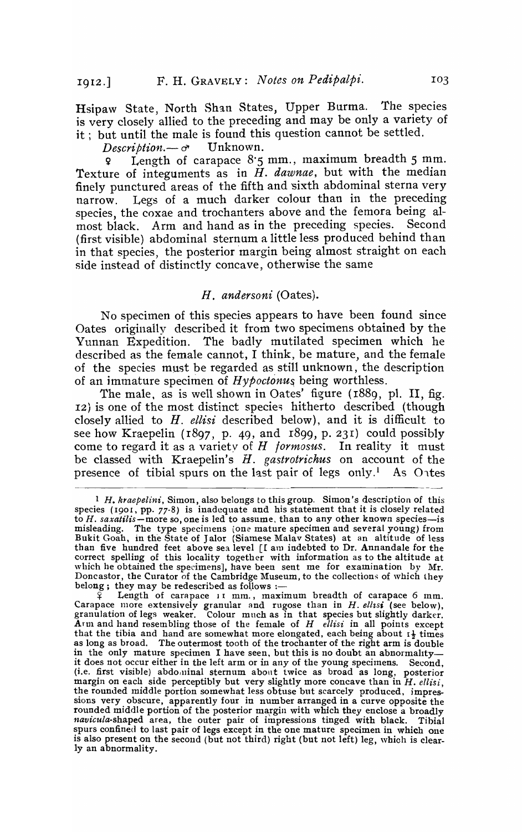Hsipaw State, North Shan States, Upper Burma. The species is very closely allied to the preceding and may be only a variety of it; but until the male is found this question cannot be settled.<br> *Description*  $-\sigma$  Unknown.

 $Description. - \sigma$ 

 $\mathsf{q}$  Length of carapace  $8.5$  mm., maximum breadth 5 mm. Texture of integuments as in *H. dawnae,* but with the median finely punctured areas of the fifth and sixth abdominal sterna very narrow. Legs of a much darker colour than in the preceding species, the coxae and trochanters above and the femora being al-<br>most black. Arm and hand as in the preceding species. Second most black. Arm and hand as in the preceding species. (first visible) abdominal sternum a little less produced behind than in that species, the posterior margin being almost straight on each side instead of distinctly concave, otherwise the same

#### *H. andersoni* (Oates).

No specimen of this species appears to have been found since Oates originally described it from two specimens obtained by the Yunnan Expedition. The badly mutilated specimen which he described as the female cannot, I think, be mature, and the female of the species must be regarded as still unknown, the description of an immature specimen of *Hypoctonus,* being worthless.

The male, as is well shown in Oates' figure ( $r889$ , pl. II, fig. 12) is one of the most distinct species hitherto described (though closely allied to *H. ellisi* described below), and it is difficult to see how Kraepelin (1897, p. 49, and 1899, p. 231) could possibly come to regard it as a variety of *H formosus*. In reality it must be classed with Kraepelin's *H. gastrotrichus* on account of the presence of tibial spurs on the last pair of legs only.<sup>1</sup> As O<sub>1tes</sub>

<sup>1</sup> *H. kraepelini,* Simon, also belongs to this group. Simon's description of this species (1901, pp. 77-8) is inadequate and his statement that it is closely related to H. *saxatilis-more* so, one is led to assume, than to any other known species-is misleading. The type specimens *(one* mature specimen and several young) from Bukit Goah, in the State of Jalor (Siamese Malav States) at an altitude of less than five hundred feet above sea level [[ am indebted to Dr. Annandale for the correct spelling of this locality together with information as to the altitude at which he obtained the specimens], have been sent me for examination by Mr. Doncastor, the Curator of the Cambridge Museum, to the collections of which they belong; they may be redescribed as follows :-

 $\widetilde{P}$  Length of carapace 11 mm., maximum breadth of carapace 6 mm. Carapace more extensively granular and rugose than in H. *ellzsi* (see below), granulation of legs weaker. Colour much as in that species but slightly darker. Arm and hand resembling those of the female of  $H$  *ellisi* in all points except that the tibia and hand are somewhat more elongated, each being about  $I$ <sup>}</sup> times as long as broad. The outermost tooth of the trochanter of the right arm is double in the only mature specimen I have seen, but this is no doubt an abnormality—<br>it does not occur either in the left arm or in any of the young specimens. Second. it does not occur either in the left arm or in any of the young specimens. (i.e. first visible) abdominal sternum about twice as broad as long, posterior margin on each side perceptibly but very slightly more concave than in *H. ellisi*  the rounded middle portion somewhat less obtuse but scarcely produced, impressions very obscure, apparently four in number arranged in a curve opposite the rounded middle portion of the posterior margin with which they enclose a broadly *navicula-shaped* area, the outer pair of impressions tinged with black. Tibial spurs confined to last pair of legs except in the one mature specimen in which one is also present on the second (but not third) right (but not left) leg, which is clearly an abnormality.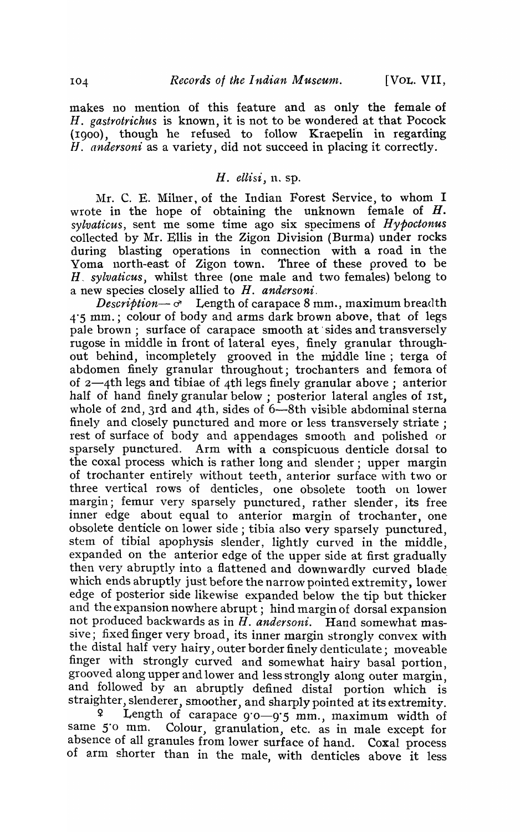makes no mention of this feature and as only the female of *H. gastrotrichus* is known, it is not to be wondered at that Pocock (1900), though he refused to follow Kraepelin in regarding *II. andersoni* as a variety, did not succeed in placing it correctly.

### *H. ellisi*, *n. sp.*

Mr. C. E. Milner, of the Indian Forest Service, to whom I wrote in the hope of obtaining the unknown female of  $H$ . *sylvaticus,* sent me some time ago six specimens of *Hypoctonus*  collected by Mr. Ellis in the Zigon Division (Burma) under rocks during blasting operations in connection with a road in the Yoma north-east of Zigon town. Three of these proved to be *H, sylvaticus,* whilst three (one male and two females) belong to a new species closely allied to *H. andersoni.* 

 $Description \rightarrow \sigma$  Length of carapace 8 mm., maximum breadth 4'5 mm.; colour of body and arms dark brown above, that of legs pale brown; surface of carapace smooth at sides and transversely rugose in middle in front of lateral eyes, finely granular throughout behind, incompletely grooved in the middle line; terga of abdomen finely granular throughout; trochanters and femora of of 2-4th legs and tibiae of 4tli legs finely granular above; anterior half of hand finely granular below; posterior lateral angles of 1st, whole of 2nd, 3rd and 4th, sides of 6-8th visible abdominal sterna finely and closely punctured and more or less transversely striate; rest of surface of body and appendages smooth and polished or sparsely punctured. Arm with a conspicuous denticle dorsal to the coxal process which is rather long and slender; upper margin of trochanter entirely without teeth, anterior surface with two or three vertical rows of denticles, one obsolete tooth on lower margin; femur very sparsely punctured, rather slender, its free inner edge about equal to anterior margin of trochanter, one obsolete denticle on lower side; tibia also very sparsely punctured, stem of tibial apophysis slender, lightly curved in the middle, expanded on the anterior edge of the upper side at first gradually then very abruptly into a flattened and downwardly curved blade which ends abruptly just before the narrow pointed extremity, lower edge of posterior side likewise expanded below the tip but thicker and the expansion nowhere abrupt; hind margin of dorsal expansion not produced backwards as in H. *andersoni.* Hand somewhat massive; fixed finger very broad, its inner margin strongly convex with the distal half very hairy, outer border finely denticulate; moveable finger with strongly curved and somewhat hairy basal portion, grooved along upper and lower and less strongly along outer margin, and followed by an abruptly defined distal portion which is straighter, slenderer, smoother, and sharply pointed at its extremity.

Length of carapace 9.0-9.5 mm., maximum width of same 5'0 mm. Colour, granulation, etc. as in male except for absence of all granules from lower surface of hand. Coxal process of arm shorter than in the male, with denticles above it less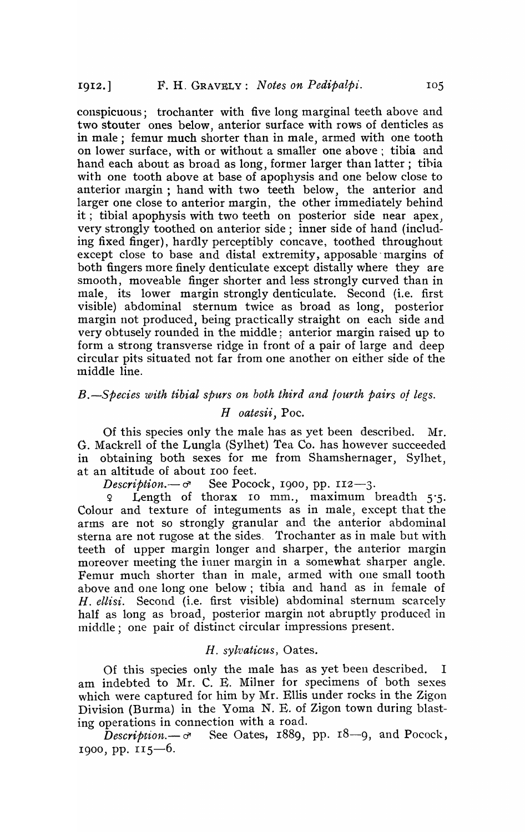conspicuous; trochanter with five long marginal teeth above and two stouter ones below, anterior surface with rows of denticles as in male; femur much shorter than in male, armed with one tooth on lower surface, with or without a smaller one above; tibia and hand each about as broad as long, former larger than latter; tihia with one tooth above at base of apophysis and one below close to anterior margin; hand with two teeth below, the anterior and larger one close to anterior margin, the other immediately behind it; tibial apophysis with two teeth on posterior side near apex, very strongly toothed on anterior side; inner side of hand (including fixed finger), hardly perceptibly concave, toothed throughout except close to base and distal extremity, apposable' margins of both fingers more finely denticulate except distally where they are smooth, moveable finger shorter and less strongly curved than in male, its lower margin strongly denticulate. Second (i.e. first visible) abdominal sternum twice as broad as long, posterior margin not produced, being practically straight on each side and very obtusely rounded in the middle; anterior margin raised up to form a strong transverse ridge in front of a pair of large and deep circular pits situated not far from one another on either side of the middle line.

*B.*-Species with tibial spurs on both third and fourth pairs of legs.

### *H oatesii,* Poe.

Of this species only the male has as yet been described.  $Mr.$ G. Mackrell of the Lungla (Sylhet) Tea Co. has however succeeded in obtaining both sexes for me from Shamshernager, Sylhet, at an altitude of about roo feet.

*Description.* $-\sigma$  See Pocock, 1900, pp. 112-3.

Length of thorax 10 mm., maximum breadth  $5.5$ . Colour and texture of integuments as in male, except that the arms are not so strongly granular and the anterior abdominal sterna are not rugose at the sides. Trochanter as in male but with teeth of upper margin longer and sharper, the anterior margin moreover meeting the inner margin in a somewhat sharper angle. Femur much shorter than in male, armed with one small tooth above and one long one below; tibia and hand as in female of *H. ellisi.* Second (i.e. first visible) abdominal sternum scarcely half as long as broad, posterior margin not abruptly produced in middle; one pair of distinct circular impressions present.

### H. sylvaticus, Oates.

Of this species only the tnale has as yet been described. I am indebted to Mr. C. E. Milner for specimens of both sexes which were captured for him by Mr. Ellis under rocks in the Zigon Division (Burma) in the Yoma N. E. of Zigon town during blasting operations in connection with a road.

 $\bar{D}$ *escription.*— $\sigma$  See Oates, 1889, pp. 18—9, and Pocock, 1900, pp.  $115-6$ .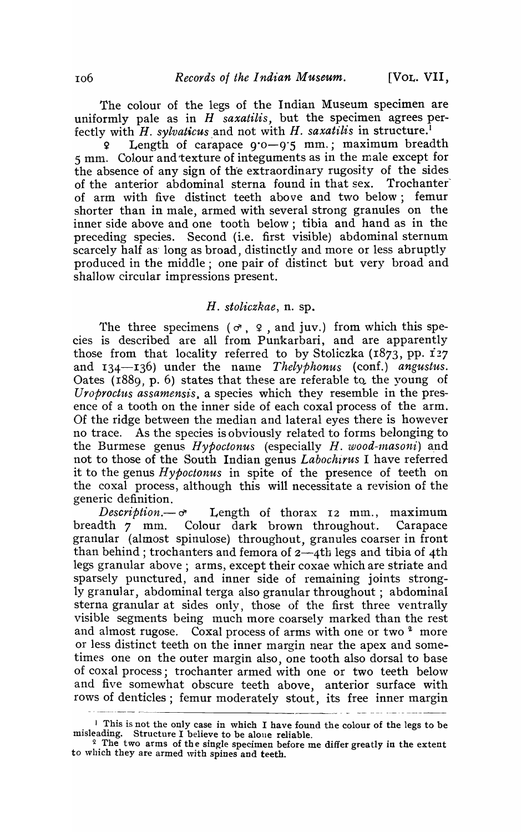The colour of the legs of the Indian Museum specimen are uniformly pale as in *H saxatilis,* but the specimen agrees perfectly with *H. sylvaticus* and not with *H. saxatilis* in structure.<sup>1</sup>

Length of carapace  $9.0-9.5$  mm.; maximum breadth 5 mm. Colour and texture of integuments as in the male except for the absence of any sign of the extraordinary rugosity of the sides of the anterior abdominal sterna found in that sex. Trochanter' of arm with five distinct teeth above and two below; femur shorter than in male, armed with several strong granules on the inner side above and one tooth below; tibia and hand as in the preceding species. Second (i.e. first visible) abdominal sternum scarcely half as long as broad, distinctly and more or less abruptly produced in the middle; one pair of distinct but very broad and shallow circular impressions present.

#### *H. stoliczkae,* n. sp.

The three specimens ( $\sigma$ ,  $\varphi$ , and juv.) from which this species is described are all from Punkarbari, and are apparently those from that locality referred to by Stoliczka  $(1873, pp. 127)$ and 134-136) under the name *Thelyphonus* (conf.) *angustus*. Oates  $(1889, p. 6)$  states that these are referable to the young of *Uroproctus assamensis*, a species which they resemble in the presence of a tooth on the inner side of each coxal process of the arm. Of the ridge between the median and lateral eyes there is however no trace. As the species is obviously related to forms belonging to the Burmese genus *Hypoctonus* (especially *H. wood-masoni*) and not to those of the South Indian genus *Labochirus* I have referred it to the genus *Hypoctonus* in spite of the presence of teeth on the coxal process, although this will necessitate a revision of the generic definition.

 $Description. -  $\sigma$$  Length of thorax 12 mm., maximum breadth 7 mm. Colour dark brown throughout.. Carapace granular (almost spinulose) throughout, granules coarser in front than behind; trochanters and femora of  $2-4$ th legs and tibia of 4th legs granular above; arms, except their coxae which are striate and sparsely punctured, and inner side of remaining joints strongly granular, abdominal terga also granular throughout; abdominal sterna granular at sides only, those of the first three ventrally visible segments being much more coarsely marked than the rest and almost rugose. Coxal process of arms with one or two  $2 \text{ more}$ or less distinct teeth on the inner margin near the apex and sometimes one on the outer margin also, one tooth also dorsal to base of coxal process; trochanter armed with one or two teeth below and five somewhat obscure teeth above, anterior surface with rows of denticles; femur moderately stout, its free inner margin

I This is not the only case in which I have found the colour of the legs to be misleading. Structure I believe to be alone reliable.

 $2<sup>2</sup>$  The two arms of the single specimen before me differ greatly in the extent to which they are armed with spines and teeth.